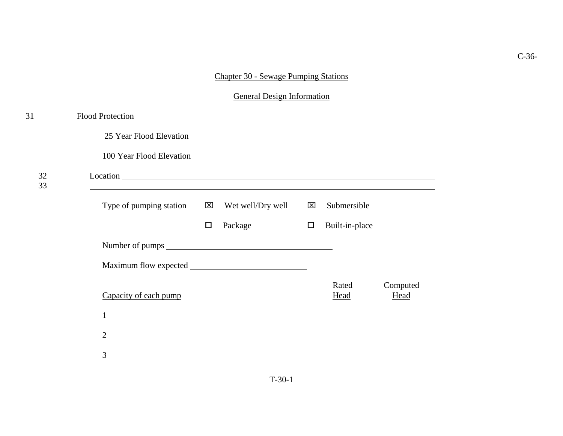## Chapter 30 - Sewage Pumping Stations

General Design Information

| 31       | <b>Flood Protection</b>                         |        |                   |              |                |                         |
|----------|-------------------------------------------------|--------|-------------------|--------------|----------------|-------------------------|
|          | 25 Year Flood Elevation 25 Year Flood Elevation |        |                   |              |                |                         |
|          |                                                 |        |                   |              |                |                         |
| 32<br>33 |                                                 |        |                   |              |                |                         |
|          | Type of pumping station $\boxtimes$             |        | Wet well/Dry well | $\mathbf{x}$ | Submersible    |                         |
|          |                                                 | $\Box$ | Package           | $\Box$       | Built-in-place |                         |
|          |                                                 |        |                   |              |                |                         |
|          |                                                 |        |                   |              |                |                         |
|          | Capacity of each pump                           |        |                   |              | Rated<br>Head  | Computed<br><b>Head</b> |
|          | $\mathbf{1}$                                    |        |                   |              |                |                         |
|          | $\overline{2}$                                  |        |                   |              |                |                         |
|          | 3                                               |        |                   |              |                |                         |
|          |                                                 |        |                   |              |                |                         |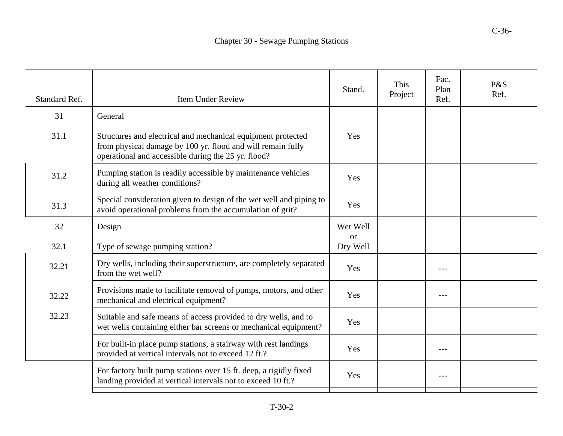C-36-

| Standard Ref. | <b>Item Under Review</b>                                                                                                                                                           | Stand.                    | This<br>Project | Fac.<br>Plan<br>Ref. | P&S<br>Ref. |
|---------------|------------------------------------------------------------------------------------------------------------------------------------------------------------------------------------|---------------------------|-----------------|----------------------|-------------|
| 31            | General                                                                                                                                                                            |                           |                 |                      |             |
| 31.1          | Structures and electrical and mechanical equipment protected<br>from physical damage by 100 yr. flood and will remain fully<br>operational and accessible during the 25 yr. flood? | Yes                       |                 |                      |             |
| 31.2          | Pumping station is readily accessible by maintenance vehicles<br>during all weather conditions?                                                                                    | Yes                       |                 |                      |             |
| 31.3          | Special consideration given to design of the wet well and piping to<br>avoid operational problems from the accumulation of grit?                                                   | Yes                       |                 |                      |             |
| 32            | Design                                                                                                                                                                             | Wet Well                  |                 |                      |             |
| 32.1          | Type of sewage pumping station?                                                                                                                                                    | <sub>or</sub><br>Dry Well |                 |                      |             |
| 32.21         | Dry wells, including their superstructure, are completely separated<br>from the wet well?                                                                                          | Yes                       |                 |                      |             |
| 32.22         | Provisions made to facilitate removal of pumps, motors, and other<br>mechanical and electrical equipment?                                                                          | Yes                       |                 |                      |             |
| 32.23         | Suitable and safe means of access provided to dry wells, and to<br>wet wells containing either bar screens or mechanical equipment?                                                | Yes                       |                 |                      |             |
|               | For built-in place pump stations, a stairway with rest landings<br>provided at vertical intervals not to exceed 12 ft.?                                                            | Yes                       |                 |                      |             |
|               | For factory built pump stations over 15 ft. deep, a rigidly fixed<br>landing provided at vertical intervals not to exceed 10 ft.?                                                  | Yes                       |                 | $---$                |             |
|               |                                                                                                                                                                                    |                           |                 |                      |             |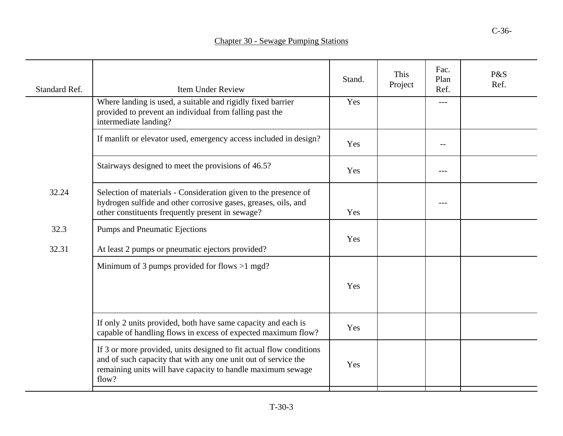| <b>Standard Ref.</b> | <b>Item Under Review</b>                                                                                                                                                                                      | Stand. | This<br>Project | Fac.<br>Plan<br>Ref. | P&S<br>Ref. |
|----------------------|---------------------------------------------------------------------------------------------------------------------------------------------------------------------------------------------------------------|--------|-----------------|----------------------|-------------|
|                      | Where landing is used, a suitable and rigidly fixed barrier<br>provided to prevent an individual from falling past the<br>intermediate landing?                                                               | Yes    |                 | ---                  |             |
|                      | If manlift or elevator used, emergency access included in design?                                                                                                                                             | Yes    |                 |                      |             |
|                      | Stairways designed to meet the provisions of 46.5?                                                                                                                                                            | Yes    |                 | $---$                |             |
| 32.24                | Selection of materials - Consideration given to the presence of<br>hydrogen sulfide and other corrosive gases, greases, oils, and<br>other constituents frequently present in sewage?                         | Yes    |                 | ---                  |             |
| 32.3<br>32.31        | <b>Pumps and Pneumatic Ejections</b><br>At least 2 pumps or pneumatic ejectors provided?                                                                                                                      | Yes    |                 |                      |             |
|                      | Minimum of 3 pumps provided for flows $>1$ mgd?                                                                                                                                                               | Yes    |                 |                      |             |
|                      | If only 2 units provided, both have same capacity and each is<br>capable of handling flows in excess of expected maximum flow?                                                                                | Yes    |                 |                      |             |
|                      | If 3 or more provided, units designed to fit actual flow conditions<br>and of such capacity that with any one unit out of service the<br>remaining units will have capacity to handle maximum sewage<br>flow? | Yes    |                 |                      |             |
|                      |                                                                                                                                                                                                               |        |                 |                      |             |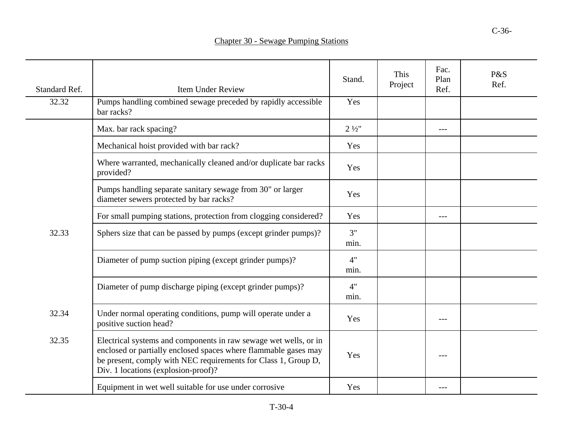| Standard Ref. | <b>Item Under Review</b>                                                                                                                                                                                                                     | Stand.           | This<br>Project | Fac.<br>Plan<br>Ref. | P&S<br>Ref. |
|---------------|----------------------------------------------------------------------------------------------------------------------------------------------------------------------------------------------------------------------------------------------|------------------|-----------------|----------------------|-------------|
| 32.32         | Pumps handling combined sewage preceded by rapidly accessible<br>bar racks?                                                                                                                                                                  | Yes              |                 |                      |             |
|               | Max. bar rack spacing?                                                                                                                                                                                                                       | $2\frac{1}{2}$ " |                 | $---$                |             |
|               | Mechanical hoist provided with bar rack?                                                                                                                                                                                                     | Yes              |                 |                      |             |
|               | Where warranted, mechanically cleaned and/or duplicate bar racks<br>provided?                                                                                                                                                                | Yes              |                 |                      |             |
|               | Pumps handling separate sanitary sewage from 30" or larger<br>diameter sewers protected by bar racks?                                                                                                                                        | Yes              |                 |                      |             |
|               | For small pumping stations, protection from clogging considered?                                                                                                                                                                             | Yes              |                 | $---$                |             |
| 32.33         | Sphers size that can be passed by pumps (except grinder pumps)?                                                                                                                                                                              | 3"<br>min.       |                 |                      |             |
|               | Diameter of pump suction piping (except grinder pumps)?                                                                                                                                                                                      | 4"<br>min.       |                 |                      |             |
|               | Diameter of pump discharge piping (except grinder pumps)?                                                                                                                                                                                    | 4"<br>min.       |                 |                      |             |
| 32.34         | Under normal operating conditions, pump will operate under a<br>positive suction head?                                                                                                                                                       | Yes              |                 | ---                  |             |
| 32.35         | Electrical systems and components in raw sewage wet wells, or in<br>enclosed or partially enclosed spaces where flammable gases may<br>be present, comply with NEC requirements for Class 1, Group D,<br>Div. 1 locations (explosion-proof)? | Yes              |                 | ---                  |             |
|               | Equipment in wet well suitable for use under corrosive                                                                                                                                                                                       | Yes              |                 | $---$                |             |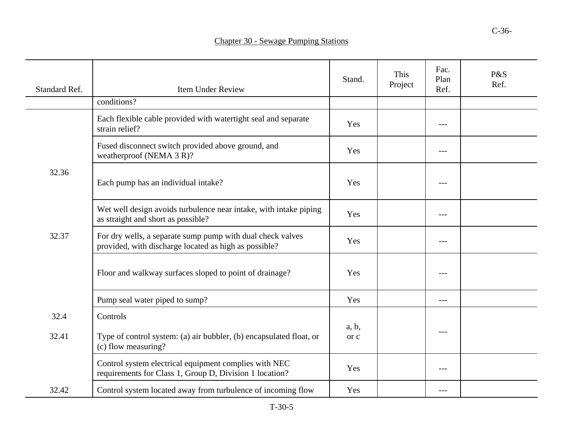| Standard Ref. | <b>Item Under Review</b>                                                                                            | Stand. | This<br>Project | Fac.<br>Plan<br>Ref. | P&S<br>Ref. |
|---------------|---------------------------------------------------------------------------------------------------------------------|--------|-----------------|----------------------|-------------|
|               | conditions?                                                                                                         |        |                 |                      |             |
|               | Each flexible cable provided with watertight seal and separate<br>strain relief?                                    | Yes    |                 | ---                  |             |
|               | Fused disconnect switch provided above ground, and<br>weatherproof (NEMA 3 R)?                                      | Yes    |                 | ---                  |             |
| 32.36         | Each pump has an individual intake?                                                                                 | Yes    |                 | $---$                |             |
|               | Wet well design avoids turbulence near intake, with intake piping<br>as straight and short as possible?             | Yes    |                 | ---                  |             |
| 32.37         | For dry wells, a separate sump pump with dual check valves<br>provided, with discharge located as high as possible? | Yes    |                 | ---                  |             |
|               | Floor and walkway surfaces sloped to point of drainage?                                                             | Yes    |                 | $---$                |             |
|               | Pump seal water piped to sump?                                                                                      | Yes    |                 | $---$                |             |
| 32.4          | Controls                                                                                                            | a, b,  |                 | ---                  |             |
| 32.41         | Type of control system: (a) air bubbler, (b) encapsulated float, or<br>(c) flow measuring?                          | or c   |                 |                      |             |
|               | Control system electrical equipment complies with NEC<br>requirements for Class 1, Group D, Division 1 location?    | Yes    |                 | ---                  |             |
| 32.42         | Control system located away from turbulence of incoming flow                                                        | Yes    |                 | ---                  |             |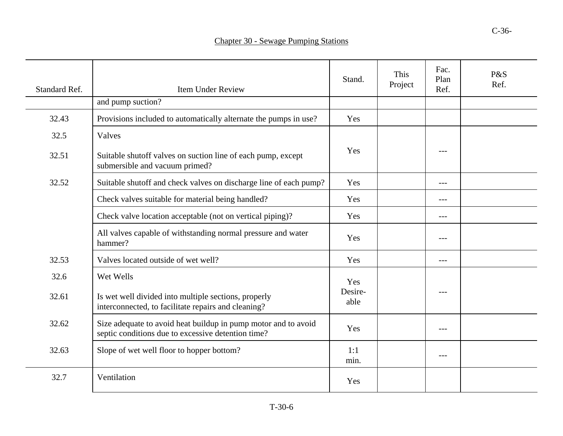| <b>Chapter 30 - Sewage Pumping Stations</b> |  |  |
|---------------------------------------------|--|--|
|---------------------------------------------|--|--|

| Standard Ref. | <b>Item Under Review</b>                                                                                             | Stand.          | This<br>Project | Fac.<br>Plan<br>Ref. | P&S<br>Ref. |
|---------------|----------------------------------------------------------------------------------------------------------------------|-----------------|-----------------|----------------------|-------------|
|               | and pump suction?                                                                                                    |                 |                 |                      |             |
| 32.43         | Provisions included to automatically alternate the pumps in use?                                                     | Yes             |                 |                      |             |
| 32.5          | Valves                                                                                                               |                 |                 |                      |             |
| 32.51         | Suitable shutoff valves on suction line of each pump, except<br>submersible and vacuum primed?                       | Yes             |                 | ---                  |             |
| 32.52         | Suitable shutoff and check valves on discharge line of each pump?                                                    | Yes             |                 | $---$                |             |
|               | Check valves suitable for material being handled?                                                                    | Yes             |                 | $---$                |             |
|               | Check valve location acceptable (not on vertical piping)?                                                            | Yes             |                 | $---$                |             |
|               | All valves capable of withstanding normal pressure and water<br>hammer?                                              | Yes             |                 | ---                  |             |
| 32.53         | Valves located outside of wet well?                                                                                  | Yes             |                 | $---$                |             |
| 32.6          | Wet Wells                                                                                                            | Yes             |                 |                      |             |
| 32.61         | Is wet well divided into multiple sections, properly<br>interconnected, to facilitate repairs and cleaning?          | Desire-<br>able |                 | ---                  |             |
| 32.62         | Size adequate to avoid heat buildup in pump motor and to avoid<br>septic conditions due to excessive detention time? | Yes             |                 | $---$                |             |
| 32.63         | Slope of wet well floor to hopper bottom?                                                                            | 1:1<br>min.     |                 | $---$                |             |
| 32.7          | Ventilation                                                                                                          | Yes             |                 |                      |             |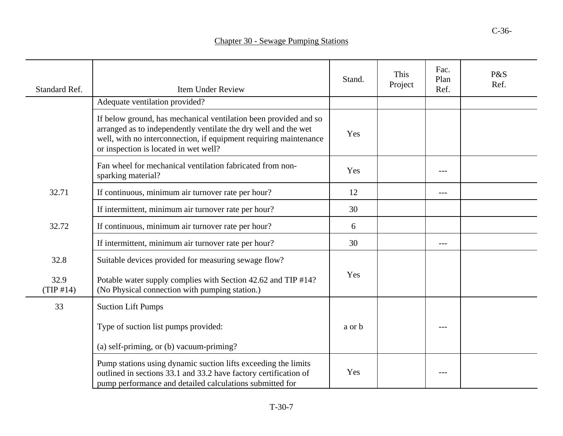## Chapter 30 - Sewage Pumping Stations

| Standard Ref.     | <b>Item Under Review</b>                                                                                                                                                                                                                          | Stand. | This<br>Project | Fac.<br>Plan<br>Ref. | P&S<br>Ref. |
|-------------------|---------------------------------------------------------------------------------------------------------------------------------------------------------------------------------------------------------------------------------------------------|--------|-----------------|----------------------|-------------|
|                   | Adequate ventilation provided?                                                                                                                                                                                                                    |        |                 |                      |             |
|                   | If below ground, has mechanical ventilation been provided and so<br>arranged as to independently ventilate the dry well and the wet<br>well, with no interconnection, if equipment requiring maintenance<br>or inspection is located in wet well? | Yes    |                 |                      |             |
|                   | Fan wheel for mechanical ventilation fabricated from non-<br>sparking material?                                                                                                                                                                   | Yes    |                 | ---                  |             |
| 32.71             | If continuous, minimum air turnover rate per hour?                                                                                                                                                                                                | 12     |                 | ---                  |             |
|                   | If intermittent, minimum air turnover rate per hour?                                                                                                                                                                                              | 30     |                 |                      |             |
| 32.72             | If continuous, minimum air turnover rate per hour?                                                                                                                                                                                                | 6      |                 |                      |             |
|                   | If intermittent, minimum air turnover rate per hour?                                                                                                                                                                                              | 30     |                 | ---                  |             |
| 32.8              | Suitable devices provided for measuring sewage flow?                                                                                                                                                                                              |        |                 |                      |             |
| 32.9<br>(TIP #14) | Potable water supply complies with Section 42.62 and TIP #14?<br>(No Physical connection with pumping station.)                                                                                                                                   | Yes    |                 |                      |             |
| 33                | <b>Suction Lift Pumps</b>                                                                                                                                                                                                                         |        |                 |                      |             |
|                   | Type of suction list pumps provided:                                                                                                                                                                                                              | a or b |                 | ---                  |             |
|                   | (a) self-priming, or (b) vacuum-priming?                                                                                                                                                                                                          |        |                 |                      |             |
|                   | Pump stations using dynamic suction lifts exceeding the limits<br>outlined in sections 33.1 and 33.2 have factory certification of<br>pump performance and detailed calculations submitted for                                                    | Yes    |                 | ---                  |             |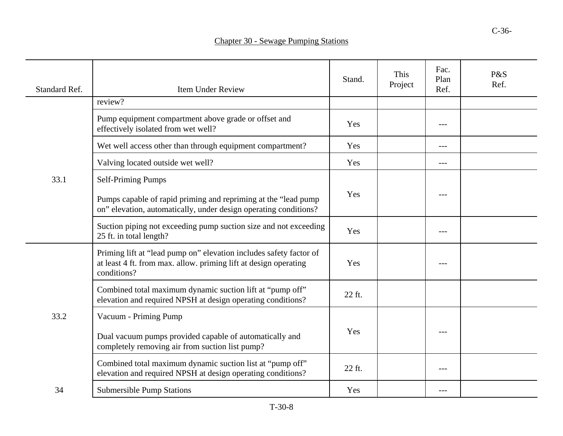|  | <b>Chapter 30 - Sewage Pumping Stations</b> |
|--|---------------------------------------------|
|--|---------------------------------------------|

| Standard Ref. | <b>Item Under Review</b>                                                                                                                              | Stand. | This<br>Project | Fac.<br>Plan<br>Ref. | P&S<br>Ref. |
|---------------|-------------------------------------------------------------------------------------------------------------------------------------------------------|--------|-----------------|----------------------|-------------|
|               | review?                                                                                                                                               |        |                 |                      |             |
|               | Pump equipment compartment above grade or offset and<br>effectively isolated from wet well?                                                           | Yes    |                 | ---                  |             |
|               | Wet well access other than through equipment compartment?                                                                                             | Yes    |                 | $---$                |             |
|               | Valving located outside wet well?                                                                                                                     | Yes    |                 | ---                  |             |
| 33.1          | <b>Self-Priming Pumps</b>                                                                                                                             |        |                 |                      |             |
|               | Pumps capable of rapid priming and repriming at the "lead pump<br>on" elevation, automatically, under design operating conditions?                    | Yes    |                 |                      |             |
|               | Suction piping not exceeding pump suction size and not exceeding<br>25 ft. in total length?                                                           | Yes    |                 | ---                  |             |
|               | Priming lift at "lead pump on" elevation includes safety factor of<br>at least 4 ft. from max. allow. priming lift at design operating<br>conditions? | Yes    |                 | ---                  |             |
|               | Combined total maximum dynamic suction lift at "pump off"<br>elevation and required NPSH at design operating conditions?                              | 22 ft. |                 |                      |             |
| 33.2          | Vacuum - Priming Pump                                                                                                                                 |        |                 |                      |             |
|               | Dual vacuum pumps provided capable of automatically and<br>completely removing air from suction list pump?                                            | Yes    |                 |                      |             |
|               | Combined total maximum dynamic suction list at "pump off"<br>elevation and required NPSH at design operating conditions?                              | 22 ft. |                 | ---                  |             |
| 34            | <b>Submersible Pump Stations</b>                                                                                                                      | Yes    |                 |                      |             |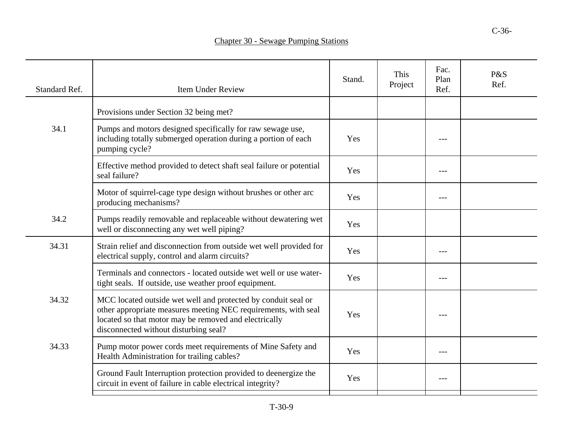| Standard Ref. | <b>Item Under Review</b>                                                                                                                                                                                                          | Stand. | This<br>Project | Fac.<br>Plan<br>Ref. | P&S<br>Ref. |
|---------------|-----------------------------------------------------------------------------------------------------------------------------------------------------------------------------------------------------------------------------------|--------|-----------------|----------------------|-------------|
|               | Provisions under Section 32 being met?                                                                                                                                                                                            |        |                 |                      |             |
| 34.1          | Pumps and motors designed specifically for raw sewage use,<br>including totally submerged operation during a portion of each<br>pumping cycle?                                                                                    | Yes    |                 | ---                  |             |
|               | Effective method provided to detect shaft seal failure or potential<br>seal failure?                                                                                                                                              | Yes    |                 | $---$                |             |
|               | Motor of squirrel-cage type design without brushes or other arc<br>producing mechanisms?                                                                                                                                          | Yes    |                 | $---$                |             |
| 34.2          | Pumps readily removable and replaceable without dewatering wet<br>well or disconnecting any wet well piping?                                                                                                                      | Yes    |                 |                      |             |
| 34.31         | Strain relief and disconnection from outside wet well provided for<br>electrical supply, control and alarm circuits?                                                                                                              | Yes    |                 | ---                  |             |
|               | Terminals and connectors - located outside wet well or use water-<br>tight seals. If outside, use weather proof equipment.                                                                                                        | Yes    |                 | $---$                |             |
| 34.32         | MCC located outside wet well and protected by conduit seal or<br>other appropriate measures meeting NEC requirements, with seal<br>located so that motor may be removed and electrically<br>disconnected without disturbing seal? | Yes    |                 | $---$                |             |
| 34.33         | Pump motor power cords meet requirements of Mine Safety and<br>Health Administration for trailing cables?                                                                                                                         | Yes    |                 | $---$                |             |
|               | Ground Fault Interruption protection provided to deenergize the<br>circuit in event of failure in cable electrical integrity?                                                                                                     | Yes    |                 | $---$                |             |
|               |                                                                                                                                                                                                                                   |        |                 |                      |             |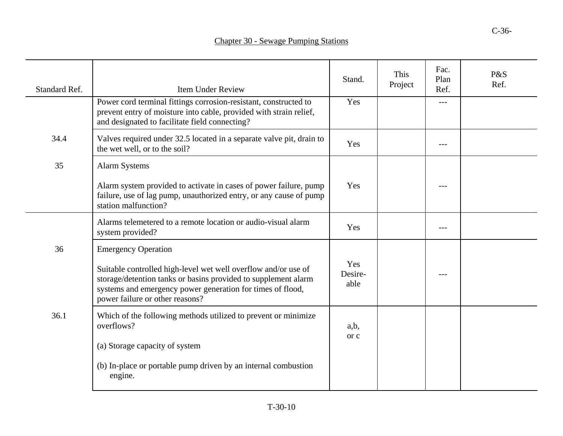| Standard Ref. | <b>Item Under Review</b>                                                                                                                                                                                                                                        | Stand.                 | This<br>Project | Fac.<br>Plan<br>Ref. | P&S<br>Ref. |
|---------------|-----------------------------------------------------------------------------------------------------------------------------------------------------------------------------------------------------------------------------------------------------------------|------------------------|-----------------|----------------------|-------------|
|               | Power cord terminal fittings corrosion-resistant, constructed to<br>prevent entry of moisture into cable, provided with strain relief,<br>and designated to facilitate field connecting?                                                                        | Yes                    |                 | $---$                |             |
| 34.4          | Valves required under 32.5 located in a separate valve pit, drain to<br>the wet well, or to the soil?                                                                                                                                                           | Yes                    |                 |                      |             |
| 35            | <b>Alarm Systems</b>                                                                                                                                                                                                                                            |                        |                 |                      |             |
|               | Alarm system provided to activate in cases of power failure, pump<br>failure, use of lag pump, unauthorized entry, or any cause of pump<br>station malfunction?                                                                                                 | Yes                    |                 |                      |             |
|               | Alarms telemetered to a remote location or audio-visual alarm<br>system provided?                                                                                                                                                                               | Yes                    |                 | $- - -$              |             |
| 36            | <b>Emergency Operation</b><br>Suitable controlled high-level wet well overflow and/or use of<br>storage/detention tanks or basins provided to supplement alarm<br>systems and emergency power generation for times of flood,<br>power failure or other reasons? | Yes<br>Desire-<br>able |                 | $---$                |             |
| 36.1          | Which of the following methods utilized to prevent or minimize<br>overflows?<br>(a) Storage capacity of system<br>(b) In-place or portable pump driven by an internal combustion                                                                                | a,b,<br>or c           |                 |                      |             |
|               | engine.                                                                                                                                                                                                                                                         |                        |                 |                      |             |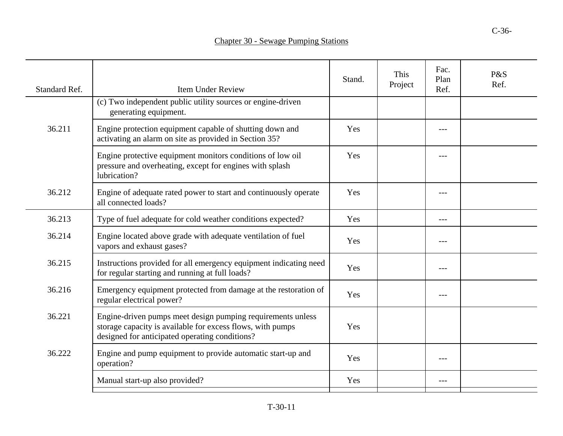| Standard Ref. | <b>Item Under Review</b>                                                                                                                                                    | Stand. | This<br>Project | Fac.<br>Plan<br>Ref. | P&S<br>Ref. |
|---------------|-----------------------------------------------------------------------------------------------------------------------------------------------------------------------------|--------|-----------------|----------------------|-------------|
|               | (c) Two independent public utility sources or engine-driven<br>generating equipment.                                                                                        |        |                 |                      |             |
| 36.211        | Engine protection equipment capable of shutting down and<br>activating an alarm on site as provided in Section 35?                                                          | Yes    |                 | ---                  |             |
|               | Engine protective equipment monitors conditions of low oil<br>pressure and overheating, except for engines with splash<br>lubrication?                                      | Yes    |                 |                      |             |
| 36.212        | Engine of adequate rated power to start and continuously operate<br>all connected loads?                                                                                    | Yes    |                 | ---                  |             |
| 36.213        | Type of fuel adequate for cold weather conditions expected?                                                                                                                 | Yes    |                 | ---                  |             |
| 36.214        | Engine located above grade with adequate ventilation of fuel<br>vapors and exhaust gases?                                                                                   | Yes    |                 | ---                  |             |
| 36.215        | Instructions provided for all emergency equipment indicating need<br>for regular starting and running at full loads?                                                        | Yes    |                 | ---                  |             |
| 36.216        | Emergency equipment protected from damage at the restoration of<br>regular electrical power?                                                                                | Yes    |                 | $---$                |             |
| 36.221        | Engine-driven pumps meet design pumping requirements unless<br>storage capacity is available for excess flows, with pumps<br>designed for anticipated operating conditions? | Yes    |                 |                      |             |
| 36.222        | Engine and pump equipment to provide automatic start-up and<br>operation?                                                                                                   | Yes    |                 | $---$                |             |
|               | Manual start-up also provided?                                                                                                                                              | Yes    |                 | $---$                |             |
|               |                                                                                                                                                                             |        |                 |                      |             |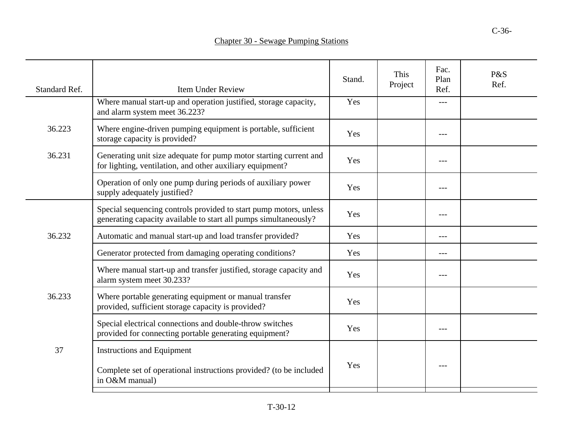| Standard Ref. | <b>Item Under Review</b>                                                                                                              | Stand. | This<br>Project | Fac.<br>Plan<br>Ref. | P&S<br>Ref. |
|---------------|---------------------------------------------------------------------------------------------------------------------------------------|--------|-----------------|----------------------|-------------|
|               | Where manual start-up and operation justified, storage capacity,<br>and alarm system meet 36.223?                                     | Yes    |                 | ---                  |             |
| 36.223        | Where engine-driven pumping equipment is portable, sufficient<br>storage capacity is provided?                                        | Yes    |                 | $- - -$              |             |
| 36.231        | Generating unit size adequate for pump motor starting current and<br>for lighting, ventilation, and other auxiliary equipment?        | Yes    |                 | $---$                |             |
|               | Operation of only one pump during periods of auxiliary power<br>supply adequately justified?                                          | Yes    |                 | $---$                |             |
| 36.232        | Special sequencing controls provided to start pump motors, unless<br>generating capacity available to start all pumps simultaneously? | Yes    |                 | ---                  |             |
|               | Automatic and manual start-up and load transfer provided?                                                                             | Yes    |                 | $---$                |             |
|               | Generator protected from damaging operating conditions?                                                                               | Yes    |                 | ---                  |             |
|               | Where manual start-up and transfer justified, storage capacity and<br>alarm system meet 30.233?                                       | Yes    |                 | $---$                |             |
| 36.233        | Where portable generating equipment or manual transfer<br>provided, sufficient storage capacity is provided?                          | Yes    |                 |                      |             |
|               | Special electrical connections and double-throw switches<br>provided for connecting portable generating equipment?                    | Yes    |                 | $---$                |             |
| 37            | Instructions and Equipment                                                                                                            |        |                 |                      |             |
|               | Complete set of operational instructions provided? (to be included<br>in O&M manual)                                                  | Yes    |                 | $---$                |             |
|               |                                                                                                                                       |        |                 |                      |             |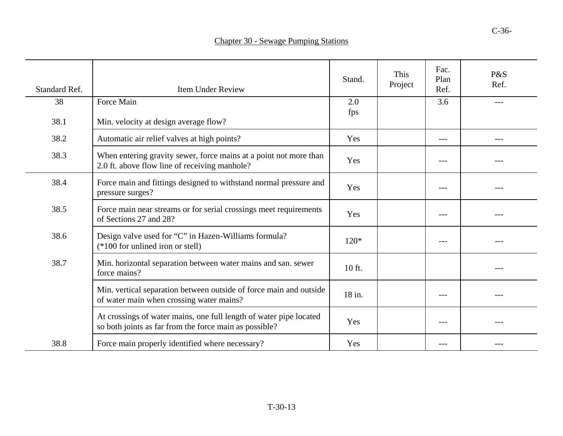| <b>Chapter 30 - Sewage Pumping Stations</b> |  |
|---------------------------------------------|--|
|---------------------------------------------|--|

| Standard Ref. | <b>Item Under Review</b>                                                                                                     | Stand.     | <b>This</b><br>Project | Fac.<br>Plan<br>Ref. | P&S<br>Ref. |
|---------------|------------------------------------------------------------------------------------------------------------------------------|------------|------------------------|----------------------|-------------|
| 38            | Force Main                                                                                                                   | 2.0<br>fps |                        | 3.6                  | $---$       |
| 38.1          | Min. velocity at design average flow?                                                                                        |            |                        |                      |             |
| 38.2          | Automatic air relief valves at high points?                                                                                  | Yes        |                        | ---                  | $---$       |
| 38.3          | When entering gravity sewer, force mains at a point not more than<br>2.0 ft. above flow line of receiving manhole?           | Yes        |                        | $---$                |             |
| 38.4          | Force main and fittings designed to withstand normal pressure and<br>pressure surges?                                        | Yes        |                        | $---$                |             |
| 38.5          | Force main near streams or for serial crossings meet requirements<br>of Sections 27 and 28?                                  | Yes        |                        |                      |             |
| 38.6          | Design valve used for "C" in Hazen-Williams formula?<br>$(*100$ for unlined iron or stell)                                   | $120*$     |                        | $- - -$              |             |
| 38.7          | Min. horizontal separation between water mains and san. sewer<br>force mains?                                                | 10 ft.     |                        |                      |             |
|               | Min. vertical separation between outside of force main and outside<br>of water main when crossing water mains?               | 18 in.     |                        |                      |             |
|               | At crossings of water mains, one full length of water pipe located<br>so both joints as far from the force main as possible? | Yes        |                        | ---                  |             |
| 38.8          | Force main properly identified where necessary?                                                                              | Yes        |                        | $---$                |             |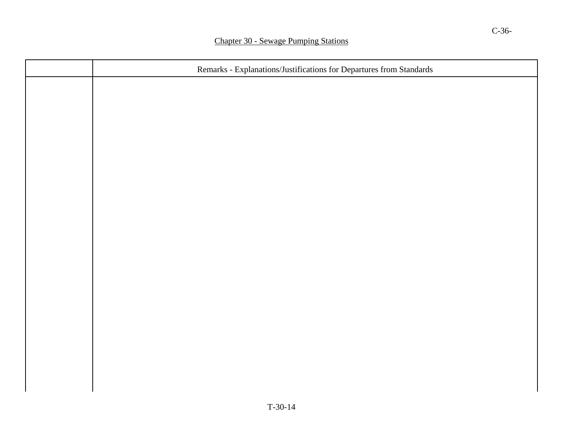| Remarks - Explanations/Justifications for Departures from Standards |  |  |
|---------------------------------------------------------------------|--|--|
|                                                                     |  |  |
|                                                                     |  |  |
|                                                                     |  |  |
|                                                                     |  |  |
|                                                                     |  |  |
|                                                                     |  |  |
|                                                                     |  |  |
|                                                                     |  |  |
|                                                                     |  |  |
|                                                                     |  |  |
|                                                                     |  |  |
|                                                                     |  |  |
|                                                                     |  |  |
|                                                                     |  |  |
|                                                                     |  |  |
|                                                                     |  |  |
|                                                                     |  |  |
|                                                                     |  |  |
| $T-30-14$                                                           |  |  |